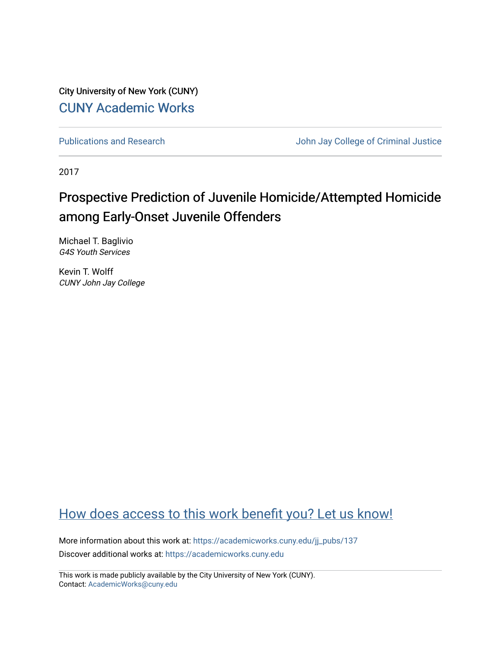City University of New York (CUNY) [CUNY Academic Works](https://academicworks.cuny.edu/) 

[Publications and Research](https://academicworks.cuny.edu/jj_pubs) **Value 2018** John Jay College of Criminal Justice

2017

# Prospective Prediction of Juvenile Homicide/Attempted Homicide among Early-Onset Juvenile Offenders

Michael T. Baglivio G4S Youth Services

Kevin T. Wolff CUNY John Jay College

## [How does access to this work benefit you? Let us know!](http://ols.cuny.edu/academicworks/?ref=https://academicworks.cuny.edu/jj_pubs/137)

More information about this work at: [https://academicworks.cuny.edu/jj\\_pubs/137](https://academicworks.cuny.edu/jj_pubs/137) Discover additional works at: [https://academicworks.cuny.edu](https://academicworks.cuny.edu/?)

This work is made publicly available by the City University of New York (CUNY). Contact: [AcademicWorks@cuny.edu](mailto:AcademicWorks@cuny.edu)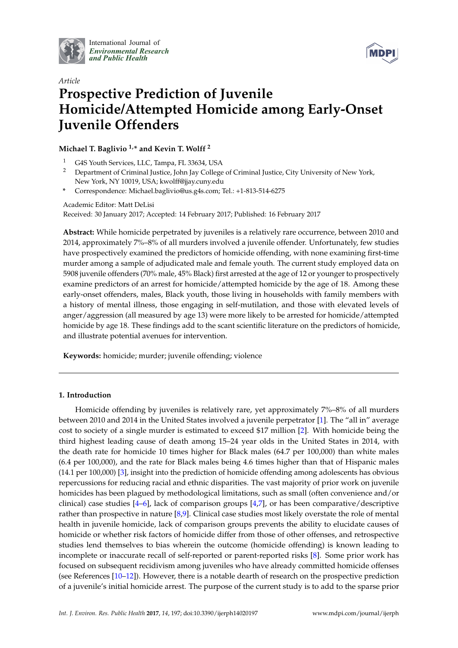

International Journal of *[Environmental Research](http://www.mdpi.com/journal/ijerph) and Public Health*



### *Article* **Prospective Prediction of Juvenile Homicide/Attempted Homicide among Early-Onset Juvenile Offenders**

**Michael T. Baglivio 1,\* and Kevin T. Wolff <sup>2</sup>**

- <sup>1</sup> G4S Youth Services, LLC, Tampa, FL 33634, USA
- <sup>2</sup> Department of Criminal Justice, John Jay College of Criminal Justice, City University of New York, New York, NY 10019, USA; kwolff@jjay.cuny.edu
- **\*** Correspondence: Michael.baglivio@us.g4s.com; Tel.: +1-813-514-6275

Academic Editor: Matt DeLisi Received: 30 January 2017; Accepted: 14 February 2017; Published: 16 February 2017

**Abstract:** While homicide perpetrated by juveniles is a relatively rare occurrence, between 2010 and 2014, approximately 7%–8% of all murders involved a juvenile offender. Unfortunately, few studies have prospectively examined the predictors of homicide offending, with none examining first-time murder among a sample of adjudicated male and female youth. The current study employed data on 5908 juvenile offenders (70% male, 45% Black) first arrested at the age of 12 or younger to prospectively examine predictors of an arrest for homicide/attempted homicide by the age of 18. Among these early-onset offenders, males, Black youth, those living in households with family members with a history of mental illness, those engaging in self-mutilation, and those with elevated levels of anger/aggression (all measured by age 13) were more likely to be arrested for homicide/attempted homicide by age 18. These findings add to the scant scientific literature on the predictors of homicide, and illustrate potential avenues for intervention.

**Keywords:** homicide; murder; juvenile offending; violence

#### **1. Introduction**

Homicide offending by juveniles is relatively rare, yet approximately 7%–8% of all murders between 2010 and 2014 in the United States involved a juvenile perpetrator [\[1\]](#page-11-0). The "all in" average cost to society of a single murder is estimated to exceed \$17 million [\[2\]](#page-11-1). With homicide being the third highest leading cause of death among 15–24 year olds in the United States in 2014, with the death rate for homicide 10 times higher for Black males (64.7 per 100,000) than white males (6.4 per 100,000), and the rate for Black males being 4.6 times higher than that of Hispanic males (14.1 per 100,000) [\[3\]](#page-11-2), insight into the prediction of homicide offending among adolescents has obvious repercussions for reducing racial and ethnic disparities. The vast majority of prior work on juvenile homicides has been plagued by methodological limitations, such as small (often convenience and/or clinical) case studies [\[4–](#page-11-3)[6\]](#page-11-4), lack of comparison groups [\[4,](#page-11-3)[7\]](#page-11-5), or has been comparative/descriptive rather than prospective in nature  $[8,9]$  $[8,9]$ . Clinical case studies most likely overstate the role of mental health in juvenile homicide, lack of comparison groups prevents the ability to elucidate causes of homicide or whether risk factors of homicide differ from those of other offenses, and retrospective studies lend themselves to bias wherein the outcome (homicide offending) is known leading to incomplete or inaccurate recall of self-reported or parent-reported risks [\[8\]](#page-11-6). Some prior work has focused on subsequent recidivism among juveniles who have already committed homicide offenses (see References [\[10–](#page-11-8)[12\]](#page-11-9)). However, there is a notable dearth of research on the prospective prediction of a juvenile's initial homicide arrest. The purpose of the current study is to add to the sparse prior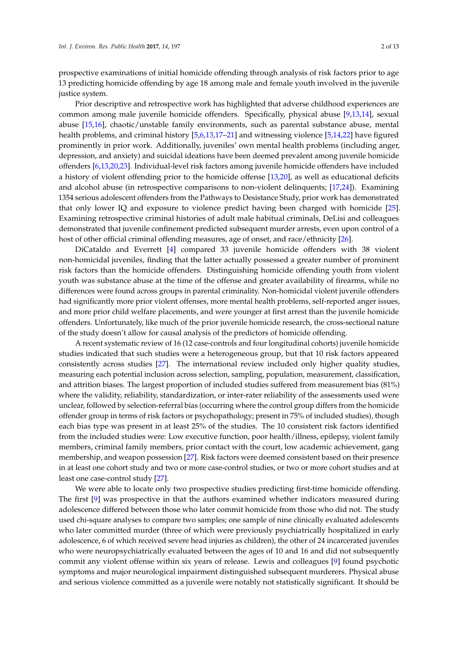prospective examinations of initial homicide offending through analysis of risk factors prior to age 13 predicting homicide offending by age 18 among male and female youth involved in the juvenile justice system.

Prior descriptive and retrospective work has highlighted that adverse childhood experiences are common among male juvenile homicide offenders. Specifically, physical abuse [\[9,](#page-11-7)[13](#page-11-10)[,14\]](#page-11-11), sexual abuse [\[15,](#page-11-12)[16\]](#page-11-13), chaotic/unstable family environments, such as parental substance abuse, mental health problems, and criminal history [\[5](#page-11-14)[,6](#page-11-4)[,13](#page-11-10)[,17–](#page-11-15)[21\]](#page-11-16) and witnessing violence [\[5,](#page-11-14)[14,](#page-11-11)[22\]](#page-11-17) have figured prominently in prior work. Additionally, juveniles' own mental health problems (including anger, depression, and anxiety) and suicidal ideations have been deemed prevalent among juvenile homicide offenders [\[6,](#page-11-4)[13,](#page-11-10)[20](#page-11-18)[,23\]](#page-11-19). Individual-level risk factors among juvenile homicide offenders have included a history of violent offending prior to the homicide offense [\[13,](#page-11-10)[20\]](#page-11-18), as well as educational deficits and alcohol abuse (in retrospective comparisons to non-violent delinquents; [\[17](#page-11-15)[,24\]](#page-12-0)). Examining 1354 serious adolescent offenders from the Pathways to Desistance Study, prior work has demonstrated that only lower IQ and exposure to violence predict having been charged with homicide [\[25\]](#page-12-1). Examining retrospective criminal histories of adult male habitual criminals, DeLisi and colleagues demonstrated that juvenile confinement predicted subsequent murder arrests, even upon control of a host of other official criminal offending measures, age of onset, and race/ethnicity [\[26\]](#page-12-2).

DiCataldo and Everrett [\[4\]](#page-11-3) compared 33 juvenile homicide offenders with 38 violent non-homicidal juveniles, finding that the latter actually possessed a greater number of prominent risk factors than the homicide offenders. Distinguishing homicide offending youth from violent youth was substance abuse at the time of the offense and greater availability of firearms, while no differences were found across groups in parental criminality. Non-homicidal violent juvenile offenders had significantly more prior violent offenses, more mental health problems, self-reported anger issues, and more prior child welfare placements, and were younger at first arrest than the juvenile homicide offenders. Unfortunately, like much of the prior juvenile homicide research, the cross-sectional nature of the study doesn't allow for causal analysis of the predictors of homicide offending.

A recent systematic review of 16 (12 case-controls and four longitudinal cohorts) juvenile homicide studies indicated that such studies were a heterogeneous group, but that 10 risk factors appeared consistently across studies [\[27\]](#page-12-3). The international review included only higher quality studies, measuring each potential inclusion across selection, sampling, population, measurement, classification, and attrition biases. The largest proportion of included studies suffered from measurement bias (81%) where the validity, reliability, standardization, or inter-rater reliability of the assessments used were unclear, followed by selection-referral bias (occurring where the control group differs from the homicide offender group in terms of risk factors or psychopathology; present in 75% of included studies), though each bias type was present in at least 25% of the studies. The 10 consistent risk factors identified from the included studies were: Low executive function, poor health/illness, epilepsy, violent family members, criminal family members, prior contact with the court, low academic achievement, gang membership, and weapon possession [\[27\]](#page-12-3). Risk factors were deemed consistent based on their presence in at least one cohort study and two or more case-control studies, or two or more cohort studies and at least one case-control study [\[27\]](#page-12-3).

We were able to locate only two prospective studies predicting first-time homicide offending. The first [\[9\]](#page-11-7) was prospective in that the authors examined whether indicators measured during adolescence differed between those who later commit homicide from those who did not. The study used chi-square analyses to compare two samples; one sample of nine clinically evaluated adolescents who later committed murder (three of which were previously psychiatrically hospitalized in early adolescence, 6 of which received severe head injuries as children), the other of 24 incarcerated juveniles who were neuropsychiatrically evaluated between the ages of 10 and 16 and did not subsequently commit any violent offense within six years of release. Lewis and colleagues [\[9\]](#page-11-7) found psychotic symptoms and major neurological impairment distinguished subsequent murderers. Physical abuse and serious violence committed as a juvenile were notably not statistically significant. It should be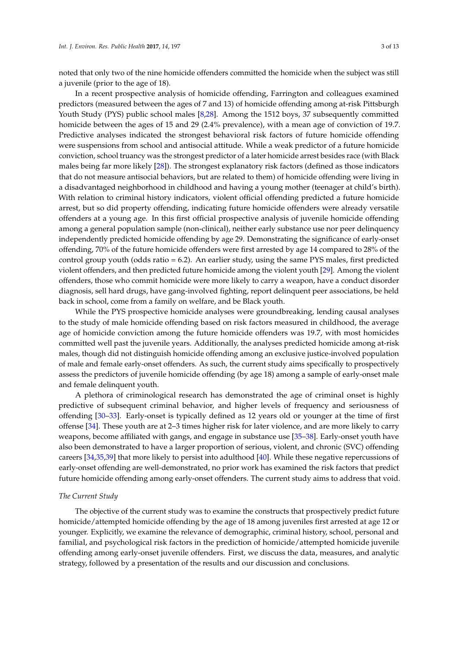noted that only two of the nine homicide offenders committed the homicide when the subject was still a juvenile (prior to the age of 18).

In a recent prospective analysis of homicide offending, Farrington and colleagues examined predictors (measured between the ages of 7 and 13) of homicide offending among at-risk Pittsburgh Youth Study (PYS) public school males [\[8](#page-11-6)[,28\]](#page-12-4). Among the 1512 boys, 37 subsequently committed homicide between the ages of 15 and 29 (2.4% prevalence), with a mean age of conviction of 19.7. Predictive analyses indicated the strongest behavioral risk factors of future homicide offending were suspensions from school and antisocial attitude. While a weak predictor of a future homicide conviction, school truancy was the strongest predictor of a later homicide arrest besides race (with Black males being far more likely [\[28\]](#page-12-4)). The strongest explanatory risk factors (defined as those indicators that do not measure antisocial behaviors, but are related to them) of homicide offending were living in a disadvantaged neighborhood in childhood and having a young mother (teenager at child's birth). With relation to criminal history indicators, violent official offending predicted a future homicide arrest, but so did property offending, indicating future homicide offenders were already versatile offenders at a young age. In this first official prospective analysis of juvenile homicide offending among a general population sample (non-clinical), neither early substance use nor peer delinquency independently predicted homicide offending by age 29. Demonstrating the significance of early-onset offending, 70% of the future homicide offenders were first arrested by age 14 compared to 28% of the control group youth (odds ratio = 6.2). An earlier study, using the same PYS males, first predicted violent offenders, and then predicted future homicide among the violent youth [\[29\]](#page-12-5). Among the violent offenders, those who commit homicide were more likely to carry a weapon, have a conduct disorder diagnosis, sell hard drugs, have gang-involved fighting, report delinquent peer associations, be held back in school, come from a family on welfare, and be Black youth.

While the PYS prospective homicide analyses were groundbreaking, lending causal analyses to the study of male homicide offending based on risk factors measured in childhood, the average age of homicide conviction among the future homicide offenders was 19.7, with most homicides committed well past the juvenile years. Additionally, the analyses predicted homicide among at-risk males, though did not distinguish homicide offending among an exclusive justice-involved population of male and female early-onset offenders. As such, the current study aims specifically to prospectively assess the predictors of juvenile homicide offending (by age 18) among a sample of early-onset male and female delinquent youth.

A plethora of criminological research has demonstrated the age of criminal onset is highly predictive of subsequent criminal behavior, and higher levels of frequency and seriousness of offending [\[30](#page-12-6)[–33\]](#page-12-7). Early-onset is typically defined as 12 years old or younger at the time of first offense [\[34\]](#page-12-8). These youth are at 2–3 times higher risk for later violence, and are more likely to carry weapons, become affiliated with gangs, and engage in substance use [\[35–](#page-12-9)[38\]](#page-12-10). Early-onset youth have also been demonstrated to have a larger proportion of serious, violent, and chronic (SVC) offending careers [\[34,](#page-12-8)[35](#page-12-9)[,39\]](#page-12-11) that more likely to persist into adulthood [\[40\]](#page-12-12). While these negative repercussions of early-onset offending are well-demonstrated, no prior work has examined the risk factors that predict future homicide offending among early-onset offenders. The current study aims to address that void.

#### *The Current Study*

The objective of the current study was to examine the constructs that prospectively predict future homicide/attempted homicide offending by the age of 18 among juveniles first arrested at age 12 or younger. Explicitly, we examine the relevance of demographic, criminal history, school, personal and familial, and psychological risk factors in the prediction of homicide/attempted homicide juvenile offending among early-onset juvenile offenders. First, we discuss the data, measures, and analytic strategy, followed by a presentation of the results and our discussion and conclusions.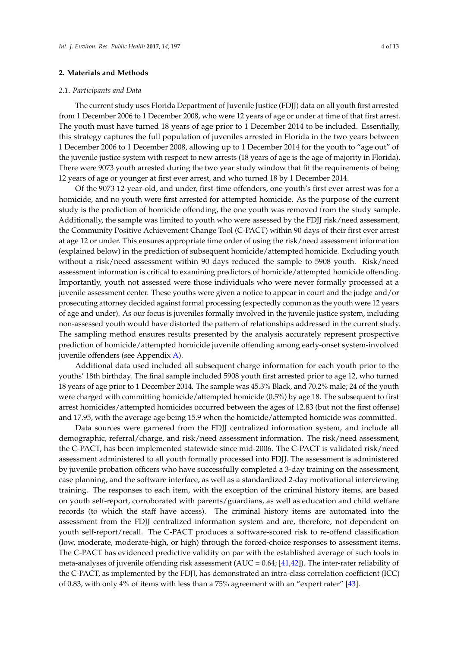#### **2. Materials and Methods**

#### *2.1. Participants and Data*

The current study uses Florida Department of Juvenile Justice (FDJJ) data on all youth first arrested from 1 December 2006 to 1 December 2008, who were 12 years of age or under at time of that first arrest. The youth must have turned 18 years of age prior to 1 December 2014 to be included. Essentially, this strategy captures the full population of juveniles arrested in Florida in the two years between 1 December 2006 to 1 December 2008, allowing up to 1 December 2014 for the youth to "age out" of the juvenile justice system with respect to new arrests (18 years of age is the age of majority in Florida). There were 9073 youth arrested during the two year study window that fit the requirements of being 12 years of age or younger at first ever arrest, and who turned 18 by 1 December 2014.

Of the 9073 12-year-old, and under, first-time offenders, one youth's first ever arrest was for a homicide, and no youth were first arrested for attempted homicide. As the purpose of the current study is the prediction of homicide offending, the one youth was removed from the study sample. Additionally, the sample was limited to youth who were assessed by the FDJJ risk/need assessment, the Community Positive Achievement Change Tool (C-PACT) within 90 days of their first ever arrest at age 12 or under. This ensures appropriate time order of using the risk/need assessment information (explained below) in the prediction of subsequent homicide/attempted homicide. Excluding youth without a risk/need assessment within 90 days reduced the sample to 5908 youth. Risk/need assessment information is critical to examining predictors of homicide/attempted homicide offending. Importantly, youth not assessed were those individuals who were never formally processed at a juvenile assessment center. These youths were given a notice to appear in court and the judge and/or prosecuting attorney decided against formal processing (expectedly common as the youth were 12 years of age and under). As our focus is juveniles formally involved in the juvenile justice system, including non-assessed youth would have distorted the pattern of relationships addressed in the current study. The sampling method ensures results presented by the analysis accurately represent prospective prediction of homicide/attempted homicide juvenile offending among early-onset system-involved juvenile offenders (see Appendix [A\)](#page-10-0).

Additional data used included all subsequent charge information for each youth prior to the youths' 18th birthday. The final sample included 5908 youth first arrested prior to age 12, who turned 18 years of age prior to 1 December 2014. The sample was 45.3% Black, and 70.2% male; 24 of the youth were charged with committing homicide/attempted homicide (0.5%) by age 18. The subsequent to first arrest homicides/attempted homicides occurred between the ages of 12.83 (but not the first offense) and 17.95, with the average age being 15.9 when the homicide/attempted homicide was committed.

Data sources were garnered from the FDJJ centralized information system, and include all demographic, referral/charge, and risk/need assessment information. The risk/need assessment, the C-PACT, has been implemented statewide since mid-2006. The C-PACT is validated risk/need assessment administered to all youth formally processed into FDJJ. The assessment is administered by juvenile probation officers who have successfully completed a 3-day training on the assessment, case planning, and the software interface, as well as a standardized 2-day motivational interviewing training. The responses to each item, with the exception of the criminal history items, are based on youth self-report, corroborated with parents/guardians, as well as education and child welfare records (to which the staff have access). The criminal history items are automated into the assessment from the FDJJ centralized information system and are, therefore, not dependent on youth self-report/recall. The C-PACT produces a software-scored risk to re-offend classification (low, moderate, moderate-high, or high) through the forced-choice responses to assessment items. The C-PACT has evidenced predictive validity on par with the established average of such tools in meta-analyses of juvenile offending risk assessment (AUC =  $0.64$ ; [\[41,](#page-12-13)[42\]](#page-12-14)). The inter-rater reliability of the C-PACT, as implemented by the FDJJ, has demonstrated an intra-class correlation coefficient (ICC) of 0.83, with only 4% of items with less than a 75% agreement with an "expert rater" [\[43\]](#page-12-15).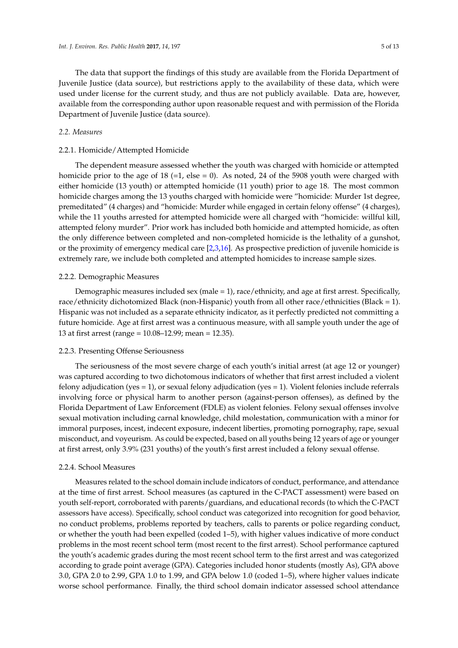The data that support the findings of this study are available from the Florida Department of Juvenile Justice (data source), but restrictions apply to the availability of these data, which were used under license for the current study, and thus are not publicly available. Data are, however, available from the corresponding author upon reasonable request and with permission of the Florida Department of Juvenile Justice (data source).

#### *2.2. Measures*

#### 2.2.1. Homicide/Attempted Homicide

The dependent measure assessed whether the youth was charged with homicide or attempted homicide prior to the age of  $18$  (=1, else = 0). As noted, 24 of the 5908 youth were charged with either homicide (13 youth) or attempted homicide (11 youth) prior to age 18. The most common homicide charges among the 13 youths charged with homicide were "homicide: Murder 1st degree, premeditated" (4 charges) and "homicide: Murder while engaged in certain felony offense" (4 charges), while the 11 youths arrested for attempted homicide were all charged with "homicide: willful kill, attempted felony murder". Prior work has included both homicide and attempted homicide, as often the only difference between completed and non-completed homicide is the lethality of a gunshot, or the proximity of emergency medical care [\[2](#page-11-1)[,3](#page-11-2)[,16\]](#page-11-13). As prospective prediction of juvenile homicide is extremely rare, we include both completed and attempted homicides to increase sample sizes.

#### 2.2.2. Demographic Measures

Demographic measures included sex (male = 1), race/ethnicity, and age at first arrest. Specifically, race/ethnicity dichotomized Black (non-Hispanic) youth from all other race/ethnicities (Black = 1). Hispanic was not included as a separate ethnicity indicator, as it perfectly predicted not committing a future homicide. Age at first arrest was a continuous measure, with all sample youth under the age of 13 at first arrest (range = 10.08–12.99; mean = 12.35).

#### 2.2.3. Presenting Offense Seriousness

The seriousness of the most severe charge of each youth's initial arrest (at age 12 or younger) was captured according to two dichotomous indicators of whether that first arrest included a violent felony adjudication (yes = 1), or sexual felony adjudication (yes = 1). Violent felonies include referrals involving force or physical harm to another person (against-person offenses), as defined by the Florida Department of Law Enforcement (FDLE) as violent felonies. Felony sexual offenses involve sexual motivation including carnal knowledge, child molestation, communication with a minor for immoral purposes, incest, indecent exposure, indecent liberties, promoting pornography, rape, sexual misconduct, and voyeurism. As could be expected, based on all youths being 12 years of age or younger at first arrest, only 3.9% (231 youths) of the youth's first arrest included a felony sexual offense.

#### 2.2.4. School Measures

Measures related to the school domain include indicators of conduct, performance, and attendance at the time of first arrest. School measures (as captured in the C-PACT assessment) were based on youth self-report, corroborated with parents/guardians, and educational records (to which the C-PACT assessors have access). Specifically, school conduct was categorized into recognition for good behavior, no conduct problems, problems reported by teachers, calls to parents or police regarding conduct, or whether the youth had been expelled (coded 1–5), with higher values indicative of more conduct problems in the most recent school term (most recent to the first arrest). School performance captured the youth's academic grades during the most recent school term to the first arrest and was categorized according to grade point average (GPA). Categories included honor students (mostly As), GPA above 3.0, GPA 2.0 to 2.99, GPA 1.0 to 1.99, and GPA below 1.0 (coded 1–5), where higher values indicate worse school performance. Finally, the third school domain indicator assessed school attendance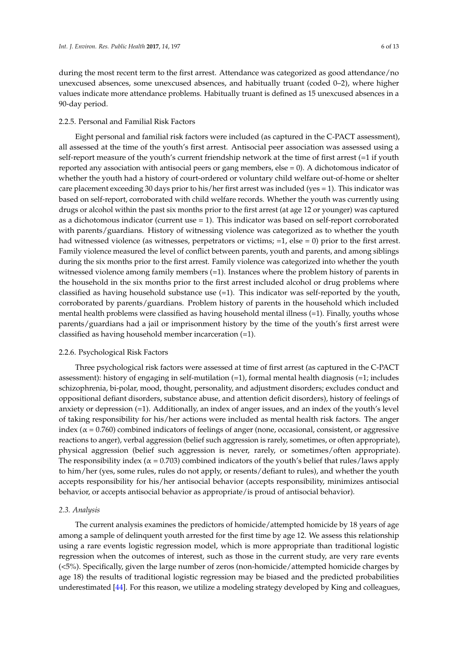during the most recent term to the first arrest. Attendance was categorized as good attendance/no unexcused absences, some unexcused absences, and habitually truant (coded 0–2), where higher values indicate more attendance problems. Habitually truant is defined as 15 unexcused absences in a 90-day period.

#### 2.2.5. Personal and Familial Risk Factors

Eight personal and familial risk factors were included (as captured in the C-PACT assessment), all assessed at the time of the youth's first arrest. Antisocial peer association was assessed using a self-report measure of the youth's current friendship network at the time of first arrest (=1 if youth reported any association with antisocial peers or gang members, else = 0). A dichotomous indicator of whether the youth had a history of court-ordered or voluntary child welfare out-of-home or shelter care placement exceeding 30 days prior to his/her first arrest was included (yes = 1). This indicator was based on self-report, corroborated with child welfare records. Whether the youth was currently using drugs or alcohol within the past six months prior to the first arrest (at age 12 or younger) was captured as a dichotomous indicator (current use  $= 1$ ). This indicator was based on self-report corroborated with parents/guardians. History of witnessing violence was categorized as to whether the youth had witnessed violence (as witnesses, perpetrators or victims;  $=1$ , else  $= 0$ ) prior to the first arrest. Family violence measured the level of conflict between parents, youth and parents, and among siblings during the six months prior to the first arrest. Family violence was categorized into whether the youth witnessed violence among family members (=1). Instances where the problem history of parents in the household in the six months prior to the first arrest included alcohol or drug problems where classified as having household substance use (=1). This indicator was self-reported by the youth, corroborated by parents/guardians. Problem history of parents in the household which included mental health problems were classified as having household mental illness (=1). Finally, youths whose parents/guardians had a jail or imprisonment history by the time of the youth's first arrest were classified as having household member incarceration (=1).

#### 2.2.6. Psychological Risk Factors

Three psychological risk factors were assessed at time of first arrest (as captured in the C-PACT assessment): history of engaging in self-mutilation (=1), formal mental health diagnosis (=1; includes schizophrenia, bi-polar, mood, thought, personality, and adjustment disorders; excludes conduct and oppositional defiant disorders, substance abuse, and attention deficit disorders), history of feelings of anxiety or depression (=1). Additionally, an index of anger issues, and an index of the youth's level of taking responsibility for his/her actions were included as mental health risk factors. The anger index ( $\alpha$  = 0.760) combined indicators of feelings of anger (none, occasional, consistent, or aggressive reactions to anger), verbal aggression (belief such aggression is rarely, sometimes, or often appropriate), physical aggression (belief such aggression is never, rarely, or sometimes/often appropriate). The responsibility index ( $\alpha$  = 0.703) combined indicators of the youth's belief that rules/laws apply to him/her (yes, some rules, rules do not apply, or resents/defiant to rules), and whether the youth accepts responsibility for his/her antisocial behavior (accepts responsibility, minimizes antisocial behavior, or accepts antisocial behavior as appropriate/is proud of antisocial behavior).

#### *2.3. Analysis*

The current analysis examines the predictors of homicide/attempted homicide by 18 years of age among a sample of delinquent youth arrested for the first time by age 12. We assess this relationship using a rare events logistic regression model, which is more appropriate than traditional logistic regression when the outcomes of interest, such as those in the current study, are very rare events (<5%). Specifically, given the large number of zeros (non-homicide/attempted homicide charges by age 18) the results of traditional logistic regression may be biased and the predicted probabilities underestimated [\[44\]](#page-12-16). For this reason, we utilize a modeling strategy developed by King and colleagues,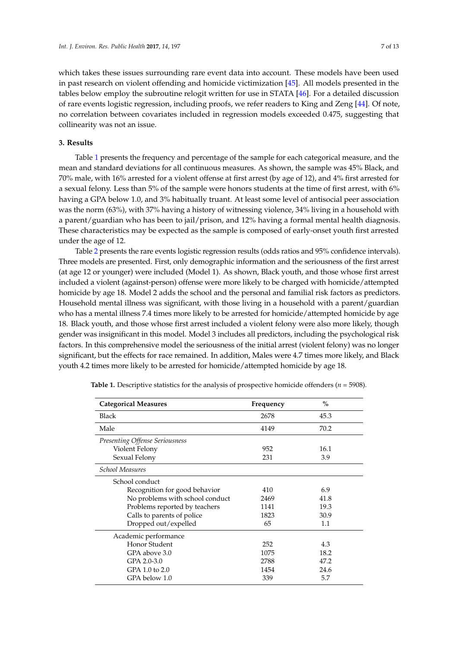which takes these issues surrounding rare event data into account. These models have been used in past research on violent offending and homicide victimization [\[45\]](#page-12-17). All models presented in the tables below employ the subroutine relogit written for use in STATA [\[46\]](#page-12-18). For a detailed discussion of rare events logistic regression, including proofs, we refer readers to King and Zeng [\[44\]](#page-12-16). Of note, no correlation between covariates included in regression models exceeded 0.475, suggesting that collinearity was not an issue.

#### **3. Results**

Table [1](#page-8-0) presents the frequency and percentage of the sample for each categorical measure, and the mean and standard deviations for all continuous measures. As shown, the sample was 45% Black, and 70% male, with 16% arrested for a violent offense at first arrest (by age of 12), and 4% first arrested for a sexual felony. Less than 5% of the sample were honors students at the time of first arrest, with 6% having a GPA below 1.0, and 3% habitually truant. At least some level of antisocial peer association was the norm (63%), with 37% having a history of witnessing violence, 34% living in a household with a parent/guardian who has been to jail/prison, and 12% having a formal mental health diagnosis. These characteristics may be expected as the sample is composed of early-onset youth first arrested under the age of 12.

Table [2](#page-8-1) presents the rare events logistic regression results (odds ratios and 95% confidence intervals). Three models are presented. First, only demographic information and the seriousness of the first arrest (at age 12 or younger) were included (Model 1). As shown, Black youth, and those whose first arrest included a violent (against-person) offense were more likely to be charged with homicide/attempted homicide by age 18. Model 2 adds the school and the personal and familial risk factors as predictors. Household mental illness was significant, with those living in a household with a parent/guardian who has a mental illness 7.4 times more likely to be arrested for homicide/attempted homicide by age 18. Black youth, and those whose first arrest included a violent felony were also more likely, though gender was insignificant in this model. Model 3 includes all predictors, including the psychological risk factors. In this comprehensive model the seriousness of the initial arrest (violent felony) was no longer significant, but the effects for race remained. In addition, Males were 4.7 times more likely, and Black youth 4.2 times more likely to be arrested for homicide/attempted homicide by age 18.

| <b>Categorical Measures</b>     | Frequency | $\frac{0}{0}$ |  |
|---------------------------------|-----------|---------------|--|
| <b>Black</b>                    | 2678      | 45.3          |  |
| Male                            | 4149      | 70.2          |  |
| Presenting Offense Seriousness  |           |               |  |
| Violent Felony                  | 952       | 16.1          |  |
| Sexual Felony                   | 231       | 3.9           |  |
| <b>School Measures</b>          |           |               |  |
| School conduct                  |           |               |  |
| Recognition for good behavior   | 410       | 6.9           |  |
| No problems with school conduct | 2469      | 41.8          |  |
| Problems reported by teachers   | 1141      | 19.3          |  |
| Calls to parents of police      | 1823      | 30.9          |  |
| Dropped out/expelled            | 65        | 1.1           |  |
| Academic performance            |           |               |  |
| Honor Student                   | 252       | 4.3           |  |
| GPA above 3.0                   | 1075      | 18.2          |  |
| GPA 2.0-3.0                     | 2788      | 47.2          |  |
| GPA 1.0 to 2.0                  | 1454      | 24.6          |  |
| GPA below 1.0                   | 339       | 5.7           |  |

**Table 1.** Descriptive statistics for the analysis of prospective homicide offenders (*n* = 5908).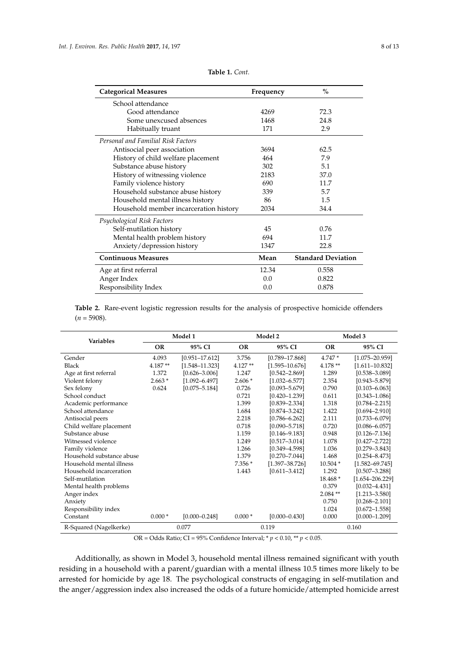<span id="page-8-0"></span>

| <b>Categorical Measures</b>            | Frequency | $\%$                      |
|----------------------------------------|-----------|---------------------------|
| School attendance                      |           |                           |
| Good attendance                        | 4269      | 72.3                      |
| Some unexcused absences                | 1468      | 24.8                      |
| Habitually truant                      | 171       | 2.9                       |
| Personal and Familial Risk Factors     |           |                           |
| Antisocial peer association            | 3694      | 62.5                      |
| History of child welfare placement     | 464       | 7.9                       |
| Substance abuse history                | 302       | 5.1                       |
| History of witnessing violence         | 2183      | 37.0                      |
| Family violence history                | 690       | 11.7                      |
| Household substance abuse history      | 339       | 5.7                       |
| Household mental illness history       | 86        | 1.5                       |
| Household member incarceration history | 2034      | 34.4                      |
| Psychological Risk Factors             |           |                           |
| Self-mutilation history                | 45        | 0.76                      |
| Mental health problem history          | 694       | 11.7                      |
| Anxiety/depression history             | 1347      | 22.8                      |
| <b>Continuous Measures</b>             | Mean      | <b>Standard Deviation</b> |
| Age at first referral                  | 12.34     | 0.558                     |
| Anger Index                            | 0.0       | 0.822                     |
| Responsibility Index                   | 0.0       | 0.878                     |

|  | Table 1. Cont. |
|--|----------------|
|  |                |

<span id="page-8-1"></span>**Table 2.** Rare-event logistic regression results for the analysis of prospective homicide offenders  $(n = 5908)$ .

| <b>Variables</b>          | Model 1               |                    | Model 2   |                    | Model 3   |                     |
|---------------------------|-----------------------|--------------------|-----------|--------------------|-----------|---------------------|
|                           | OR                    | 95% CI             | <b>OR</b> | 95% CI             | <b>OR</b> | 95% CI              |
| Gender                    | 4.093                 | $[0.951 - 17.612]$ | 3.756     | $[0.789 - 17.868]$ | $4.747*$  | $[1.075 - 20.959]$  |
| <b>Black</b>              | $4.187$ $^{\ast\ast}$ | $[1.548 - 11.323]$ | $4.127**$ | $[1.595 - 10.676]$ | 4.178 **  | $[1.611 - 10.832]$  |
| Age at first referral     | 1.372                 | $[0.626 - 3.006]$  | 1.247     | $[0.542 - 2.869]$  | 1.289     | $[0.538 - 3.089]$   |
| Violent felony            | $2.663*$              | $[1.092 - 6.497]$  | $2.606*$  | $[1.032 - 6.577]$  | 2.354     | $[0.943 - 5.879]$   |
| Sex felony                | 0.624                 | $[0.075 - 5.184]$  | 0.726     | $[0.093 - 5.679]$  | 0.790     | $[0.103 - 6.063]$   |
| School conduct            |                       |                    | 0.721     | $[0.420 - 1.239]$  | 0.611     | $[0.343 - 1.086]$   |
| Academic performance      |                       |                    | 1.399     | $[0.839 - 2.334]$  | 1.318     | $[0.784 - 2.215]$   |
| School attendance         |                       |                    | 1.684     | $[0.874 - 3.242]$  | 1.422     | $[0.694 - 2.910]$   |
| Antisocial peers          |                       |                    | 2.218     | $[0.786 - 6.262]$  | 2.111     | $[0.733 - 6.079]$   |
| Child welfare placement   |                       |                    | 0.718     | $[0.090 - 5.718]$  | 0.720     | $[0.086 - 6.057]$   |
| Substance abuse           |                       |                    | 1.159     | $[0.146 - 9.183]$  | 0.948     | $[0.126 - 7.136]$   |
| Witnessed violence        |                       |                    | 1.249     | $[0.517 - 3.014]$  | 1.078     | $[0.427 - 2.722]$   |
| Family violence           |                       |                    | 1.266     | $[0.349 - 4.598]$  | 1.036     | $[0.279 - 3.843]$   |
| Household substance abuse |                       |                    | 1.379     | $[0.270 - 7.044]$  | 1.468     | $[0.254 - 8.473]$   |
| Household mental illness  |                       |                    | $7.356*$  | $[1.397 - 38.726]$ | $10.504*$ | $[1.582 - 69.745]$  |
| Household incarceration   |                       |                    | 1.443     | $[0.611 - 3.412]$  | 1.292     | $[0.507 - 3.288]$   |
| Self-mutilation           |                       |                    |           |                    | 18.468 *  | $[1.654 - 206.229]$ |
| Mental health problems    |                       |                    |           |                    | 0.379     | $[0.032 - 4.431]$   |
| Anger index               |                       |                    |           |                    | $2.084**$ | $[1.213 - 3.580]$   |
| Anxiety                   |                       |                    |           |                    | 0.750     | $[0.268 - 2.101]$   |
| Responsibility index      |                       |                    |           |                    | 1.024     | $[0.672 - 1.558]$   |
| Constant                  | $0.000*$              | $[0.000 - 0.248]$  | $0.000*$  | $[0.000 - 0.430]$  | 0.000     | $[0.000 - 1.209]$   |
| R-Squared (Nagelkerke)    | 0.077                 |                    | 0.119     |                    | 0.160     |                     |

OR = Odds Ratio; CI = 95% Confidence Interval; \* *p* < 0.10, \*\* *p* < 0.05.

Additionally, as shown in Model 3, household mental illness remained significant with youth residing in a household with a parent/guardian with a mental illness 10.5 times more likely to be arrested for homicide by age 18. The psychological constructs of engaging in self-mutilation and the anger/aggression index also increased the odds of a future homicide/attempted homicide arrest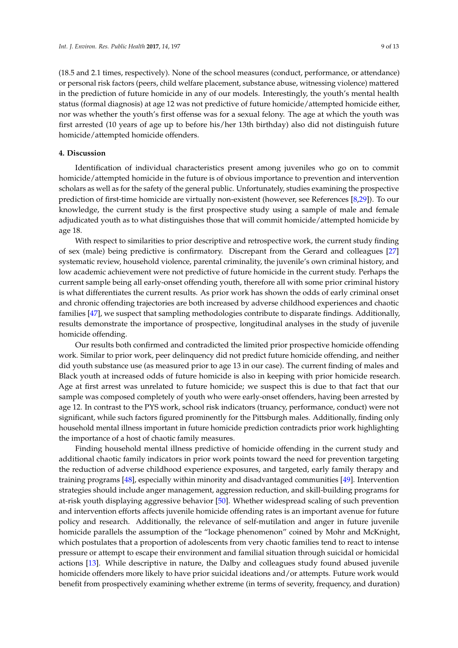(18.5 and 2.1 times, respectively). None of the school measures (conduct, performance, or attendance) or personal risk factors (peers, child welfare placement, substance abuse, witnessing violence) mattered in the prediction of future homicide in any of our models. Interestingly, the youth's mental health status (formal diagnosis) at age 12 was not predictive of future homicide/attempted homicide either, nor was whether the youth's first offense was for a sexual felony. The age at which the youth was first arrested (10 years of age up to before his/her 13th birthday) also did not distinguish future homicide/attempted homicide offenders.

#### **4. Discussion**

Identification of individual characteristics present among juveniles who go on to commit homicide/attempted homicide in the future is of obvious importance to prevention and intervention scholars as well as for the safety of the general public. Unfortunately, studies examining the prospective prediction of first-time homicide are virtually non-existent (however, see References [\[8](#page-11-6)[,29\]](#page-12-5)). To our knowledge, the current study is the first prospective study using a sample of male and female adjudicated youth as to what distinguishes those that will commit homicide/attempted homicide by age 18.

With respect to similarities to prior descriptive and retrospective work, the current study finding of sex (male) being predictive is confirmatory. Discrepant from the Gerard and colleagues [\[27\]](#page-12-3) systematic review, household violence, parental criminality, the juvenile's own criminal history, and low academic achievement were not predictive of future homicide in the current study. Perhaps the current sample being all early-onset offending youth, therefore all with some prior criminal history is what differentiates the current results. As prior work has shown the odds of early criminal onset and chronic offending trajectories are both increased by adverse childhood experiences and chaotic families [\[47\]](#page-13-0), we suspect that sampling methodologies contribute to disparate findings. Additionally, results demonstrate the importance of prospective, longitudinal analyses in the study of juvenile homicide offending.

Our results both confirmed and contradicted the limited prior prospective homicide offending work. Similar to prior work, peer delinquency did not predict future homicide offending, and neither did youth substance use (as measured prior to age 13 in our case). The current finding of males and Black youth at increased odds of future homicide is also in keeping with prior homicide research. Age at first arrest was unrelated to future homicide; we suspect this is due to that fact that our sample was composed completely of youth who were early-onset offenders, having been arrested by age 12. In contrast to the PYS work, school risk indicators (truancy, performance, conduct) were not significant, while such factors figured prominently for the Pittsburgh males. Additionally, finding only household mental illness important in future homicide prediction contradicts prior work highlighting the importance of a host of chaotic family measures.

Finding household mental illness predictive of homicide offending in the current study and additional chaotic family indicators in prior work points toward the need for prevention targeting the reduction of adverse childhood experience exposures, and targeted, early family therapy and training programs [\[48\]](#page-13-1), especially within minority and disadvantaged communities [\[49\]](#page-13-2). Intervention strategies should include anger management, aggression reduction, and skill-building programs for at-risk youth displaying aggressive behavior [\[50\]](#page-13-3). Whether widespread scaling of such prevention and intervention efforts affects juvenile homicide offending rates is an important avenue for future policy and research. Additionally, the relevance of self-mutilation and anger in future juvenile homicide parallels the assumption of the "lockage phenomenon" coined by Mohr and McKnight, which postulates that a proportion of adolescents from very chaotic families tend to react to intense pressure or attempt to escape their environment and familial situation through suicidal or homicidal actions [\[13\]](#page-11-10). While descriptive in nature, the Dalby and colleagues study found abused juvenile homicide offenders more likely to have prior suicidal ideations and/or attempts. Future work would benefit from prospectively examining whether extreme (in terms of severity, frequency, and duration)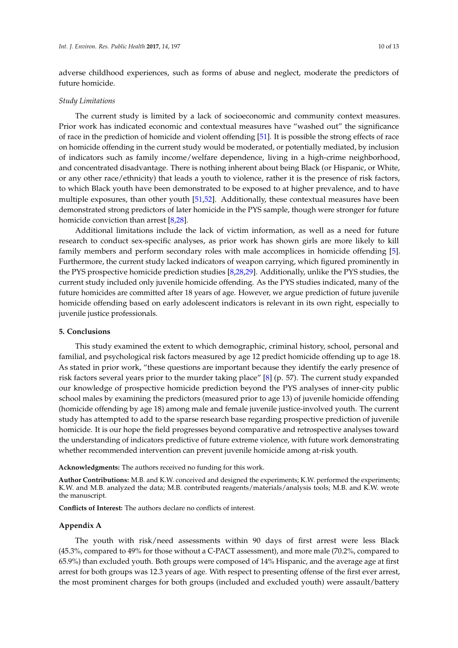adverse childhood experiences, such as forms of abuse and neglect, moderate the predictors of future homicide.

#### *Study Limitations*

The current study is limited by a lack of socioeconomic and community context measures. Prior work has indicated economic and contextual measures have "washed out" the significance of race in the prediction of homicide and violent offending [\[51\]](#page-13-4). It is possible the strong effects of race on homicide offending in the current study would be moderated, or potentially mediated, by inclusion of indicators such as family income/welfare dependence, living in a high-crime neighborhood, and concentrated disadvantage. There is nothing inherent about being Black (or Hispanic, or White, or any other race/ethnicity) that leads a youth to violence, rather it is the presence of risk factors, to which Black youth have been demonstrated to be exposed to at higher prevalence, and to have multiple exposures, than other youth [\[51](#page-13-4)[,52\]](#page-13-5). Additionally, these contextual measures have been demonstrated strong predictors of later homicide in the PYS sample, though were stronger for future homicide conviction than arrest [\[8,](#page-11-6)[28\]](#page-12-4).

Additional limitations include the lack of victim information, as well as a need for future research to conduct sex-specific analyses, as prior work has shown girls are more likely to kill family members and perform secondary roles with male accomplices in homicide offending [\[5\]](#page-11-14). Furthermore, the current study lacked indicators of weapon carrying, which figured prominently in the PYS prospective homicide prediction studies [\[8,](#page-11-6)[28,](#page-12-4)[29\]](#page-12-5). Additionally, unlike the PYS studies, the current study included only juvenile homicide offending. As the PYS studies indicated, many of the future homicides are committed after 18 years of age. However, we argue prediction of future juvenile homicide offending based on early adolescent indicators is relevant in its own right, especially to juvenile justice professionals.

#### **5. Conclusions**

This study examined the extent to which demographic, criminal history, school, personal and familial, and psychological risk factors measured by age 12 predict homicide offending up to age 18. As stated in prior work, "these questions are important because they identify the early presence of risk factors several years prior to the murder taking place" [\[8\]](#page-11-6) (p. 57). The current study expanded our knowledge of prospective homicide prediction beyond the PYS analyses of inner-city public school males by examining the predictors (measured prior to age 13) of juvenile homicide offending (homicide offending by age 18) among male and female juvenile justice-involved youth. The current study has attempted to add to the sparse research base regarding prospective prediction of juvenile homicide. It is our hope the field progresses beyond comparative and retrospective analyses toward the understanding of indicators predictive of future extreme violence, with future work demonstrating whether recommended intervention can prevent juvenile homicide among at-risk youth.

#### **Acknowledgments:** The authors received no funding for this work.

**Author Contributions:** M.B. and K.W. conceived and designed the experiments; K.W. performed the experiments; K.W. and M.B. analyzed the data; M.B. contributed reagents/materials/analysis tools; M.B. and K.W. wrote the manuscript.

**Conflicts of Interest:** The authors declare no conflicts of interest.

#### <span id="page-10-0"></span>**Appendix A**

The youth with risk/need assessments within 90 days of first arrest were less Black (45.3%, compared to 49% for those without a C-PACT assessment), and more male (70.2%, compared to 65.9%) than excluded youth. Both groups were composed of 14% Hispanic, and the average age at first arrest for both groups was 12.3 years of age. With respect to presenting offense of the first ever arrest, the most prominent charges for both groups (included and excluded youth) were assault/battery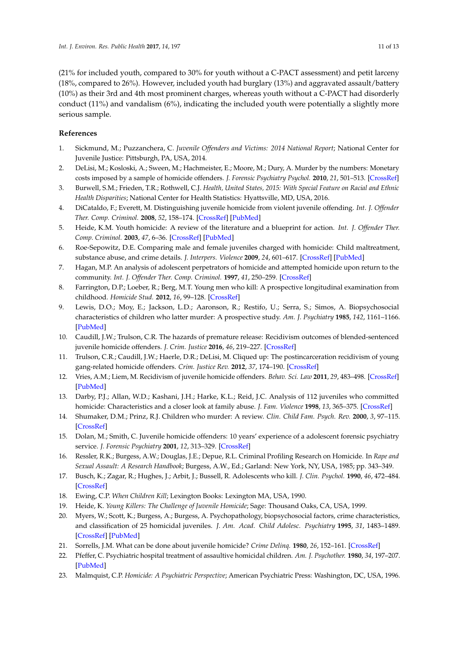(21% for included youth, compared to 30% for youth without a C-PACT assessment) and petit larceny (18%, compared to 26%). However, included youth had burglary (13%) and aggravated assault/battery (10%) as their 3rd and 4th most prominent charges, whereas youth without a C-PACT had disorderly conduct (11%) and vandalism (6%), indicating the included youth were potentially a slightly more serious sample.

### **References**

- <span id="page-11-0"></span>1. Sickmund, M.; Puzzanchera, C. *Juvenile Offenders and Victims: 2014 National Report*; National Center for Juvenile Justice: Pittsburgh, PA, USA, 2014.
- <span id="page-11-1"></span>2. DeLisi, M.; Kosloski, A.; Sween, M.; Hachmeister, E.; Moore, M.; Dury, A. Murder by the numbers: Monetary costs imposed by a sample of homicide offenders. *J. Forensic Psychiatry Psychol.* **2010**, *21*, 501–513. [\[CrossRef\]](http://dx.doi.org/10.1080/14789940903564388)
- <span id="page-11-2"></span>3. Burwell, S.M.; Frieden, T.R.; Rothwell, C.J. *Health, United States, 2015: With Special Feature on Racial and Ethnic Health Disparities*; National Center for Health Statistics: Hyattsville, MD, USA, 2016.
- <span id="page-11-3"></span>4. DiCataldo, F.; Everett, M. Distinguishing juvenile homicide from violent juvenile offending. *Int. J. Offender Ther. Comp. Criminol.* **2008**, *52*, 158–174. [\[CrossRef\]](http://dx.doi.org/10.1177/0306624X07303906) [\[PubMed\]](http://www.ncbi.nlm.nih.gov/pubmed/17671097)
- <span id="page-11-14"></span>5. Heide, K.M. Youth homicide: A review of the literature and a blueprint for action. *Int. J. Offender Ther. Comp. Criminol.* **2003**, *47*, 6–36. [\[CrossRef\]](http://dx.doi.org/10.1177/0306624X02239272) [\[PubMed\]](http://www.ncbi.nlm.nih.gov/pubmed/12613429)
- <span id="page-11-4"></span>6. Roe-Sepowitz, D.E. Comparing male and female juveniles charged with homicide: Child maltreatment, substance abuse, and crime details. *J. Interpers. Violence* **2009**, *24*, 601–617. [\[CrossRef\]](http://dx.doi.org/10.1177/0886260508317201) [\[PubMed\]](http://www.ncbi.nlm.nih.gov/pubmed/18487523)
- <span id="page-11-5"></span>7. Hagan, M.P. An analysis of adolescent perpetrators of homicide and attempted homicide upon return to the community. *Int. J. Offender Ther. Comp. Criminol.* **1997**, *41*, 250–259. [\[CrossRef\]](http://dx.doi.org/10.1177/0306624X97413004)
- <span id="page-11-6"></span>8. Farrington, D.P.; Loeber, R.; Berg, M.T. Young men who kill: A prospective longitudinal examination from childhood. *Homicide Stud.* **2012**, *16*, 99–128. [\[CrossRef\]](http://dx.doi.org/10.1177/1088767912439398)
- <span id="page-11-7"></span>9. Lewis, D.O.; Moy, E.; Jackson, L.D.; Aaronson, R.; Restifo, U.; Serra, S.; Simos, A. Biopsychosocial characteristics of children who latter murder: A prospective study. *Am. J. Psychiatry* **1985**, *142*, 1161–1166. [\[PubMed\]](http://www.ncbi.nlm.nih.gov/pubmed/4037127)
- <span id="page-11-8"></span>10. Caudill, J.W.; Trulson, C.R. The hazards of premature release: Recidivism outcomes of blended-sentenced juvenile homicide offenders. *J. Crim. Justice* **2016**, *46*, 219–227. [\[CrossRef\]](http://dx.doi.org/10.1016/j.jcrimjus.2016.05.009)
- 11. Trulson, C.R.; Caudill, J.W.; Haerle, D.R.; DeLisi, M. Cliqued up: The postincarceration recidivism of young gang-related homicide offenders. *Crim. Justice Rev.* **2012**, *37*, 174–190. [\[CrossRef\]](http://dx.doi.org/10.1177/0734016811434531)
- <span id="page-11-9"></span>12. Vries, A.M.; Liem, M. Recidivism of juvenile homicide offenders. *Behav. Sci. Law* **2011**, *29*, 483–498. [\[CrossRef\]](http://dx.doi.org/10.1002/bsl.984) [\[PubMed\]](http://www.ncbi.nlm.nih.gov/pubmed/21484856)
- <span id="page-11-10"></span>13. Darby, P.J.; Allan, W.D.; Kashani, J.H.; Harke, K.L.; Reid, J.C. Analysis of 112 juveniles who committed homicide: Characteristics and a closer look at family abuse. *J. Fam. Violence* **1998**, *13*, 365–375. [\[CrossRef\]](http://dx.doi.org/10.1023/A:1022823219276)
- <span id="page-11-11"></span>14. Shumaker, D.M.; Prinz, R.J. Children who murder: A review. *Clin. Child Fam. Psych. Rev.* **2000**, *3*, 97–115. [\[CrossRef\]](http://dx.doi.org/10.1023/A:1009560602970)
- <span id="page-11-12"></span>15. Dolan, M.; Smith, C. Juvenile homicide offenders: 10 years' experience of a adolescent forensic psychiatry service. *J. Forensic Psychiatry* **2001**, *12*, 313–329. [\[CrossRef\]](http://dx.doi.org/10.1080/09585180110056858)
- <span id="page-11-13"></span>16. Ressler, R.K.; Burgess, A.W.; Douglas, J.E.; Depue, R.L. Criminal Profiling Research on Homicide. In *Rape and Sexual Assault: A Research Handbook*; Burgess, A.W., Ed.; Garland: New York, NY, USA, 1985; pp. 343–349.
- <span id="page-11-15"></span>17. Busch, K.; Zagar, R.; Hughes, J.; Arbit, J.; Bussell, R. Adolescents who kill. *J. Clin. Psychol.* **1990**, *46*, 472–484. [\[CrossRef\]](http://dx.doi.org/10.1002/1097-4679(199007)46:4<472::AID-JCLP2270460416>3.0.CO;2-F)
- 18. Ewing, C.P. *When Children Kill*; Lexington Books: Lexington MA, USA, 1990.
- 19. Heide, K. *Young Killers: The Challenge of Juvenile Homicide*; Sage: Thousand Oaks, CA, USA, 1999.
- <span id="page-11-18"></span>20. Myers, W.; Scott, K.; Burgess, A.; Burgess, A. Psychopathology, biopsychosocial factors, crime characteristics, and classification of 25 homicidal juveniles. *J. Am. Acad. Child Adolesc. Psychiatry* **1995**, *31*, 1483–1489. [\[CrossRef\]](http://dx.doi.org/10.1097/00004583-199511000-00015) [\[PubMed\]](http://www.ncbi.nlm.nih.gov/pubmed/8543516)
- <span id="page-11-16"></span>21. Sorrells, J.M. What can be done about juvenile homicide? *Crime Delinq.* **1980**, *26*, 152–161. [\[CrossRef\]](http://dx.doi.org/10.1177/001112878002600202)
- <span id="page-11-17"></span>22. Pfeffer, C. Psychiatric hospital treatment of assaultive homicidal children. *Am. J. Psychother.* **1980**, *34*, 197–207. [\[PubMed\]](http://www.ncbi.nlm.nih.gov/pubmed/7386691)
- <span id="page-11-19"></span>23. Malmquist, C.P. *Homicide: A Psychiatric Perspective*; American Psychiatric Press: Washington, DC, USA, 1996.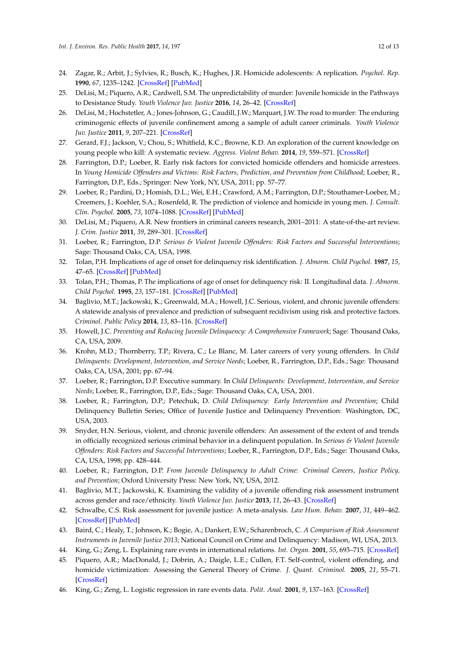- <span id="page-12-0"></span>24. Zagar, R.; Arbit, J.; Sylvies, R.; Busch, K.; Hughes, J.R. Homicide adolescents: A replication. *Psychol. Rep.* **1990**, *67*, 1235–1242. [\[CrossRef\]](http://dx.doi.org/10.2466/pr0.1990.67.3f.1235) [\[PubMed\]](http://www.ncbi.nlm.nih.gov/pubmed/2084749)
- <span id="page-12-1"></span>25. DeLisi, M.; Piquero, A.R.; Cardwell, S.M. The unpredictability of murder: Juvenile homicide in the Pathways to Desistance Study. *Youth Violence Juv. Justice* **2016**, *14*, 26–42. [\[CrossRef\]](http://dx.doi.org/10.1177/1541204014551805)
- <span id="page-12-2"></span>26. DeLisi, M.; Hochstetler, A.; Jones-Johnson, G.; Caudill, J.W.; Marquart, J.W. The road to murder: The enduring criminogenic effects of juvenile confinement among a sample of adult career criminals. *Youth Violence Juv. Justice* **2011**, *9*, 207–221. [\[CrossRef\]](http://dx.doi.org/10.1177/1541204010396107)
- <span id="page-12-3"></span>27. Gerard, F.J.; Jackson, V.; Chou, S.; Whitfield, K.C.; Browne, K.D. An exploration of the current knowledge on young people who kill: A systematic review. *Aggress. Violent Behav.* **2014**, *19*, 559–571. [\[CrossRef\]](http://dx.doi.org/10.1016/j.avb.2014.07.002)
- <span id="page-12-4"></span>28. Farrington, D.P.; Loeber, R. Early risk factors for convicted homicide offenders and homicide arrestees. In *Young Homicide Offenders and Victims: Risk Factors, Prediction, and Prevention from Childhood*; Loeber, R., Farrington, D.P., Eds.; Springer: New York, NY, USA, 2011; pp. 57–77.
- <span id="page-12-5"></span>29. Loeber, R.; Pardini, D.; Homish, D.L.; Wei, E.H.; Crawford, A.M.; Farrington, D.P.; Stouthamer-Loeber, M.; Creemers, J.; Koehler, S.A.; Rosenfeld, R. The prediction of violence and homicide in young men. *J. Consult. Clin. Psychol.* **2005**, *73*, 1074–1088. [\[CrossRef\]](http://dx.doi.org/10.1037/0022-006X.73.6.1074) [\[PubMed\]](http://www.ncbi.nlm.nih.gov/pubmed/16392981)
- <span id="page-12-6"></span>30. DeLisi, M.; Piquero, A.R. New frontiers in criminal careers research, 2001–2011: A state-of-the-art review. *J. Crim. Justice* **2011**, *39*, 289–301. [\[CrossRef\]](http://dx.doi.org/10.1016/j.jcrimjus.2011.05.001)
- 31. Loeber, R.; Farrington, D.P. *Serious & Violent Juvenile Offenders: Risk Factors and Successful Interventions*; Sage: Thousand Oaks, CA, USA, 1998.
- 32. Tolan, P.H. Implications of age of onset for delinquency risk identification. *J. Abnorm. Child Psychol.* **1987**, *15*, 47–65. [\[CrossRef\]](http://dx.doi.org/10.1007/BF00916465) [\[PubMed\]](http://www.ncbi.nlm.nih.gov/pubmed/3571739)
- <span id="page-12-7"></span>33. Tolan, P.H.; Thomas, P. The implications of age of onset for delinquency risk: II. Longitudinal data. *J. Abnorm. Child Psychol.* **1995**, *23*, 157–181. [\[CrossRef\]](http://dx.doi.org/10.1007/BF01447087) [\[PubMed\]](http://www.ncbi.nlm.nih.gov/pubmed/7642832)
- <span id="page-12-8"></span>34. Baglivio, M.T.; Jackowski, K.; Greenwald, M.A.; Howell, J.C. Serious, violent, and chronic juvenile offenders: A statewide analysis of prevalence and prediction of subsequent recidivism using risk and protective factors. *Criminol. Public Policy* **2014**, *13*, 83–116. [\[CrossRef\]](http://dx.doi.org/10.1111/1745-9133.12064)
- <span id="page-12-9"></span>35. Howell, J.C. *Preventing and Reducing Juvenile Delinquency: A Comprehensive Framework*; Sage: Thousand Oaks, CA, USA, 2009.
- 36. Krohn, M.D.; Thornberry, T.P.; Rivera, C.; Le Blanc, M. Later careers of very young offenders. In *Child Delinquents: Development, Intervention, and Service Needs*; Loeber, R., Farrington, D.P., Eds.; Sage: Thousand Oaks, CA, USA, 2001; pp. 67–94.
- 37. Loeber, R.; Farrington, D.P. Executive summary. In *Child Delinquents: Development, Intervention, and Service Needs*; Loeber, R., Farrington, D.P., Eds.; Sage: Thousand Oaks, CA, USA, 2001.
- <span id="page-12-10"></span>38. Loeber, R.; Farrington, D.P.; Petechuk, D. *Child Delinquency: Early Intervention and Prevention*; Child Delinquency Bulletin Series; Office of Juvenile Justice and Delinquency Prevention: Washington, DC, USA, 2003.
- <span id="page-12-11"></span>39. Snyder, H.N. Serious, violent, and chronic juvenile offenders: An assessment of the extent of and trends in officially recognized serious criminal behavior in a delinquent population. In *Serious & Violent Juvenile Offenders: Risk Factors and Successful Interventions*; Loeber, R., Farrington, D.P., Eds.; Sage: Thousand Oaks, CA, USA, 1998; pp. 428–444.
- <span id="page-12-12"></span>40. Loeber, R.; Farrington, D.P. *From Juvenile Delinquency to Adult Crime: Criminal Careers, Justice Policy, and Prevention*; Oxford University Press: New York, NY, USA, 2012.
- <span id="page-12-13"></span>41. Baglivio, M.T.; Jackowski, K. Examining the validity of a juvenile offending risk assessment instrument across gender and race/ethnicity. *Youth Violence Juv. Justice* **2013**, *11*, 26–43. [\[CrossRef\]](http://dx.doi.org/10.1177/1541204012440107)
- <span id="page-12-14"></span>42. Schwalbe, C.S. Risk assessment for juvenile justice: A meta-analysis. *Law Hum. Behav.* **2007**, *31*, 449–462. [\[CrossRef\]](http://dx.doi.org/10.1007/s10979-006-9071-7) [\[PubMed\]](http://www.ncbi.nlm.nih.gov/pubmed/17211688)
- <span id="page-12-15"></span>43. Baird, C.; Healy, T.; Johnson, K.; Bogie, A.; Dankert, E.W.; Scharenbroch, C. *A Comparison of Risk Assessment Instruments in Juvenile Justice 2013*; National Council on Crime and Delinquency: Madison, WI, USA, 2013.
- <span id="page-12-16"></span>44. King, G.; Zeng, L. Explaining rare events in international relations. *Int. Organ.* **2001**, *55*, 693–715. [\[CrossRef\]](http://dx.doi.org/10.1162/00208180152507597)
- <span id="page-12-17"></span>45. Piquero, A.R.; MacDonald, J.; Dobrin, A.; Daigle, L.E.; Cullen, F.T. Self-control, violent offending, and homicide victimization: Assessing the General Theory of Crime. *J. Quant. Criminol.* **2005**, *21*, 55–71. [\[CrossRef\]](http://dx.doi.org/10.1007/s10940-004-1787-2)
- <span id="page-12-18"></span>46. King, G.; Zeng, L. Logistic regression in rare events data. *Polit. Anal.* **2001**, *9*, 137–163. [\[CrossRef\]](http://dx.doi.org/10.1093/oxfordjournals.pan.a004868)